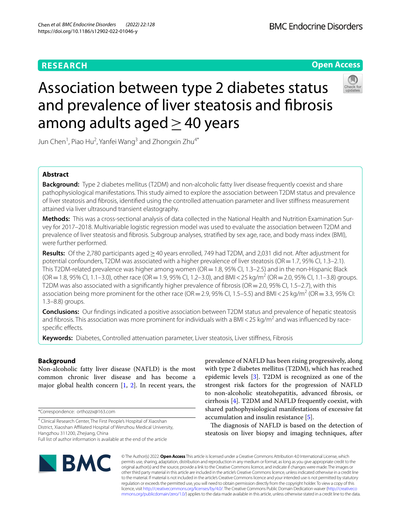# **RESEARCH**

# **Open Access**



# Association between type 2 diabetes status and prevalence of liver steatosis and fbrosis among adults aged $\geq$  40 years

Jun Chen $^1$ , Piao Hu $^2$ , Yanfei Wang $^3$  and Zhongxin Zhu $^{4^\ast}$ 

# **Abstract**

**Background:** Type 2 diabetes mellitus (T2DM) and non-alcoholic fatty liver disease frequently coexist and share pathophysiological manifestations. This study aimed to explore the association between T2DM status and prevalence of liver steatosis and fbrosis, identifed using the controlled attenuation parameter and liver stifness measurement attained via liver ultrasound transient elastography.

**Methods:** This was a cross-sectional analysis of data collected in the National Health and Nutrition Examination Survey for 2017–2018. Multivariable logistic regression model was used to evaluate the association between T2DM and prevalence of liver steatosis and fbrosis. Subgroup analyses, stratifed by sex age, race, and body mass index (BMI), were further performed.

**Results:** Of the 2,780 participants aged≥40 years enrolled, 749 had T2DM, and 2,031 did not. After adjustment for potential confounders, T2DM was associated with a higher prevalence of liver steatosis (OR=1.7, 95% CI, 1.3–2.1). This T2DM-related prevalence was higher among women (OR = 1.8, 95% CI, 1.3–2.5) and in the non-Hispanic Black  $(OR = 1.8, 95\% \text{ CI}, 1.1-3.0)$ , other race  $(OR = 1.9, 95\% \text{ CI}, 1.2-3.0)$ , and BMI < 25 kg/m<sup>2</sup> (OR = 2.0, 95% CI, 1.1-3.8) groups. T2DM was also associated with a significantly higher prevalence of fibrosis (OR = 2.0, 95% CI, 1.5–2.7), with this association being more prominent for the other race (OR = 2.9, 95% CI, 1.5–5.5) and BMI < 25 kg/m<sup>2</sup> (OR = 3.3, 95% CI: 1.3–8.8) groups.

**Conclusions:** Our fndings indicated a positive association between T2DM status and prevalence of hepatic steatosis and fibrosis. This association was more prominent for individuals with a BMI < 25 kg/m<sup>2</sup> and was influenced by racespecifc efects.

**Keywords:** Diabetes, Controlled attenuation parameter, Liver steatosis, Liver stifness, Fibrosis

# **Background**

Non-alcoholic fatty liver disease (NAFLD) is the most common chronic liver disease and has become a major global health concern [[1,](#page-8-0) [2\]](#page-8-1). In recent years, the

\*Correspondence: orthozzx@163.com

<sup>4</sup> Clinical Research Center, The First People's Hospital of Xiaoshan District, Xiaoshan Afliated Hospital of Wenzhou Medical University, Hangzhou 311200, Zhejiang, China

prevalence of NAFLD has been rising progressively, along with type 2 diabetes mellitus (T2DM), which has reached epidemic levels [[3\]](#page-8-2). T2DM is recognized as one of the strongest risk factors for the progression of NAFLD to non-alcoholic steatohepatitis, advanced fbrosis, or cirrhosis [\[4\]](#page-8-3). T2DM and NAFLD frequently coexist, with shared pathophysiological manifestations of excessive fat accumulation and insulin resistance [\[5](#page-8-4)].

The diagnosis of NAFLD is based on the detection of steatosis on liver biopsy and imaging techniques, after



© The Author(s) 2022. **Open Access** This article is licensed under a Creative Commons Attribution 4.0 International License, which permits use, sharing, adaptation, distribution and reproduction in any medium or format, as long as you give appropriate credit to the original author(s) and the source, provide a link to the Creative Commons licence, and indicate if changes were made. The images or other third party material in this article are included in the article's Creative Commons licence, unless indicated otherwise in a credit line to the material. If material is not included in the article's Creative Commons licence and your intended use is not permitted by statutory regulation or exceeds the permitted use, you will need to obtain permission directly from the copyright holder. To view a copy of this licence, visit [http://creativecommons.org/licenses/by/4.0/.](http://creativecommons.org/licenses/by/4.0/) The Creative Commons Public Domain Dedication waiver ([http://creativeco](http://creativecommons.org/publicdomain/zero/1.0/) [mmons.org/publicdomain/zero/1.0/](http://creativecommons.org/publicdomain/zero/1.0/)) applies to the data made available in this article, unless otherwise stated in a credit line to the data.

Full list of author information is available at the end of the article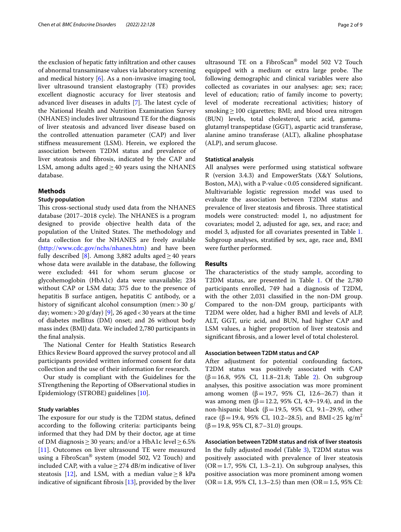the exclusion of hepatic fatty infltration and other causes of abnormal transaminase values via laboratory screening and medical history [[6](#page-8-5)]. As a non-invasive imaging tool, liver ultrasound transient elastography (TE) provides excellent diagnostic accuracy for liver steatosis and advanced liver diseases in adults  $[7]$  $[7]$ . The latest cycle of the National Health and Nutrition Examination Survey (NHANES) includes liver ultrasound TE for the diagnosis of liver steatosis and advanced liver disease based on the controlled attenuation parameter (CAP) and liver stifness measurement (LSM). Herein, we explored the association between T2DM status and prevalence of liver steatosis and fbrosis, indicated by the CAP and LSM, among adults aged $\geq$ 40 years using the NHANES database.

## **Methods**

#### **Study population**

This cross-sectional study used data from the NHANES database  $(2017-2018 \text{ cycle})$ . The NHANES is a program designed to provide objective health data of the population of the United States. The methodology and data collection for the NHANES are freely available ([http://www.cdc.gov/nchs/nhanes.htm\)](http://www.cdc.gov/nchs/nhanes.htm) and have been fully described [[8\]](#page-8-7). Among 3,882 adults aged  $\geq$  40 years whose data were available in the database, the following were excluded: 441 for whom serum glucose or glycohemoglobin (HbA1c) data were unavailable; 234 without CAP or LSM data; 375 due to the presence of hepatitis B surface antigen, hepatitis C antibody, or a history of significant alcohol consumption (men: > 30 g/ day; women:  $>$  20 g/day) [\[9](#page-8-8)], 26 aged < 30 years at the time of diabetes mellitus (DM) onset; and 26 without body mass index (BMI) data. We included 2,780 participants in the fnal analysis.

The National Center for Health Statistics Research Ethics Review Board approved the survey protocol and all participants provided written informed consent for data collection and the use of their information for research.

Our study is compliant with the Guidelines for the STrengthening the Reporting of OBservational studies in Epidemiology (STROBE) guidelines [\[10](#page-8-9)].

## **Study variables**

The exposure for our study is the T2DM status, defined according to the following criteria: participants being informed that they had DM by their doctor, age at time of DM diagnosis  $\geq$  30 years; and/or a HbA1c level  $\geq$  6.5% [[11\]](#page-8-10). Outcomes on liver ultrasound TE were measured using a FibroScan® system (model 502, V2 Touch) and included CAP, with a value  $\geq$  274 dB/m indicative of liver steatosis [\[12](#page-8-11)], and LSM, with a median value  $\geq 8$  kPa indicative of signifcant fbrosis [[13\]](#page-8-12), provided by the liver

ultrasound TE on a FibroScan® model 502 V2 Touch equipped with a medium or extra large probe. The following demographic and clinical variables were also collected as covariates in our analyses: age; sex; race; level of education; ratio of family income to poverty; level of moderate recreational activities; history of smoking $\geq$ 100 cigarettes; BMI; and blood urea nitrogen (BUN) levels, total cholesterol, uric acid, gammaglutamyl transpeptidase (GGT), aspartic acid transferase, alanine amino transferase (ALT), alkaline phosphatase (ALP), and serum glucose.

## **Statistical analysis**

All analyses were performed using statistical software R (version 3.4.3) and EmpowerStats (X&Y Solutions, Boston, MA), with a P-value < 0.05 considered significant. Multivariable logistic regression model was used to evaluate the association between T2DM status and prevalence of liver steatosis and fibrosis. Three statistical models were constructed: model 1, no adjustment for covariates; model 2, adjusted for age, sex, and race; and model 3, adjusted for all covariates presented in Table [1](#page-2-0). Subgroup analyses, stratifed by sex, age, race and, BMI were further performed.

## **Results**

The characteristics of the study sample, according to T2DM status, are presented in Table [1](#page-2-0). Of the 2,780 participants enrolled, 749 had a diagnosis of T2DM, with the other 2,031 classifed in the non-DM group. Compared to the non-DM group, participants with T2DM were older, had a higher BMI and levels of ALP, ALT, GGT, uric acid, and BUN, had higher CAP and LSM values, a higher proportion of liver steatosis and signifcant fbrosis, and a lower level of total cholesterol.

## **Association between T2DM status and CAP**

After adjustment for potential confounding factors, T2DM status was positively associated with CAP  $(β=16.8, 95% CI, 11.8–21.8; Table 2).$  $(β=16.8, 95% CI, 11.8–21.8; Table 2).$  $(β=16.8, 95% CI, 11.8–21.8; Table 2).$  On subgroup analyses, this positive association was more prominent among women  $(β=19.7, 95%$  CI, 12.6–26.7) than it was among men (β = 12.2, 95% CI, 4.9–19.4), and in the non-hispanic black ( $β=19.5$ , 95% CI, 9.1–29.9), other race (β = 19.4, 95% CI, 10.2–28.5), and BMI < 25  $\text{kg/m}^2$  $(\beta=19.8, 95\% \text{ CI}, 8.7-31.0)$  groups.

**Association between T2DM status and risk of liver steatosis** In the fully adjusted model (Table [3\)](#page-4-0), T2DM status was positively associated with prevalence of liver steatosis  $(OR = 1.7, 95\% \text{ CI}, 1.3-2.1)$ . On subgroup analyses, this positive association was more prominent among women  $(OR = 1.8, 95\% \text{ CI}, 1.3-2.5)$  than men  $(OR = 1.5, 95\% \text{ CI})$ :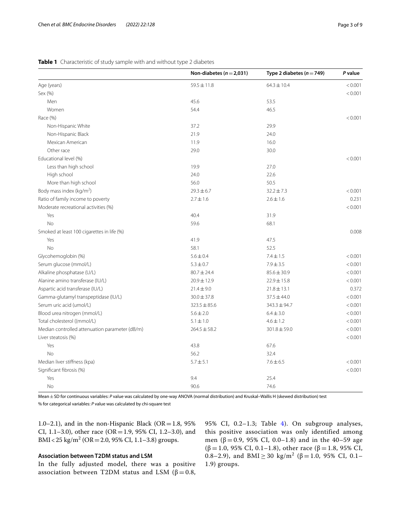|                                                | Non-diabetes ( $n = 2,031$ ) | Type 2 diabetes ( $n = 749$ ) | P value |
|------------------------------------------------|------------------------------|-------------------------------|---------|
| Age (years)                                    | $59.5 \pm 11.8$              | $64.3 \pm 10.4$               | < 0.001 |
| Sex (%)                                        |                              |                               | < 0.001 |
| Men                                            | 45.6                         | 53.5                          |         |
| Women                                          | 54.4                         | 46.5                          |         |
| Race (%)                                       |                              |                               | < 0.001 |
| Non-Hispanic White                             | 37.2                         | 29.9                          |         |
| Non-Hispanic Black                             | 21.9                         | 24.0                          |         |
| Mexican American                               | 11.9                         | 16.0                          |         |
| Other race                                     | 29.0                         | 30.0                          |         |
| Educational level (%)                          |                              |                               | < 0.001 |
| Less than high school                          | 19.9                         | 27.0                          |         |
| High school                                    | 24.0                         | 22.6                          |         |
| More than high school                          | 56.0                         | 50.5                          |         |
| Body mass index ( $kg/m2$ )                    | $29.3 \pm 6.7$               | $32.2 \pm 7.3$                | < 0.001 |
| Ratio of family income to poverty              | $2.7 \pm 1.6$                | $2.6 \pm 1.6$                 | 0.231   |
| Moderate recreational activities (%)           |                              |                               | < 0.001 |
| Yes                                            | 40.4                         | 31.9                          |         |
| <b>No</b>                                      | 59.6                         | 68.1                          |         |
| Smoked at least 100 cigarettes in life (%)     |                              |                               | 0.008   |
| Yes                                            | 41.9                         | 47.5                          |         |
| No                                             | 58.1                         | 52.5                          |         |
| Glycohemoglobin (%)                            | $5.6 \pm 0.4$                | $7.4 \pm 1.5$                 | < 0.001 |
| Serum glucose (mmol/L)                         | $5.3 \pm 0.7$                | $7.9 \pm 3.5$                 | < 0.001 |
| Alkaline phosphatase (U/L)                     | $80.7 \pm 24.4$              | $85.6 \pm 30.9$               | < 0.001 |
| Alanine amino transferase (IU/L)               | 20.9±12.9                    | $22.9 \pm 15.8$               | < 0.001 |
| Aspartic acid transferase (IU/L)               | $21.4 \pm 9.0$               | $21.8 \pm 13.1$               | 0.372   |
| Gamma-glutamyl transpeptidase (IU/L)           | $30.0 \pm 37.8$              | $37.5 \pm 44.0$               | < 0.001 |
| Serum uric acid (umol/L)                       | $323.5 \pm 85.6$             | 343.3±94.7                    | < 0.001 |
| Blood urea nitrogen (mmol/L)                   | $5.6 \pm 2.0$                | $6.4 \pm 3.0$                 | < 0.001 |
| Total cholesterol ((mmol/L)                    | $5.1 \pm 1.0$                | $4.6 \pm 1.2$                 | < 0.001 |
| Median controlled attenuation parameter (dB/m) | $264.5 \pm 58.2$             | $301.8 \pm 59.0$              | < 0.001 |
| Liver steatosis (%)                            |                              |                               | < 0.001 |
| Yes                                            | 43.8                         | 67.6                          |         |
| No                                             | 56.2                         | 32.4                          |         |
| Median liver stiffness (kpa)                   | $5.7 \pm 5.1$                | $7.6 \pm 6.5$                 | < 0.001 |
| Significant fibrosis (%)                       |                              |                               | < 0.001 |
| Yes                                            | 9.4                          | 25.4                          |         |
| No                                             | 90.6                         | 74.6                          |         |

## <span id="page-2-0"></span>**Table 1** Characteristic of study sample with and without type 2 diabetes

Mean±SD for continuous variables: *P* value was calculated by one-way ANOVA (normal distribution) and Kruskal–Wallis H (skewed distribution) test % for categorical variables: *P* value was calculated by chi-square test

1.0–2.1), and in the non-Hispanic Black ( $OR = 1.8$ , 95% CI, 1.1–3.0), other race (OR=1.9, 95% CI, 1.2–3.0), and BMI < 25 kg/m<sup>2</sup> (OR = 2.0, 95% CI, 1.1–3.8) groups.

# **Association between T2DM status and LSM**

In the fully adjusted model, there was a positive association between T2DM status and LSM ( $β = 0.8$ , 95% CI, 0.2–1.3; Table [4](#page-5-0)). On subgroup analyses, this positive association was only identified among men (β = 0.9, 95% CI, 0.0–1.8) and in the 40–59 age ( $\beta$  = 1.0, 95% CI, 0.1–1.8), other race ( $\beta$  = 1.8, 95% CI, 0.8–2.9), and BMI ≥ 30  $\text{kg/m}^2$  (β = 1.0, 95% CI, 0.1– 1.9) groups.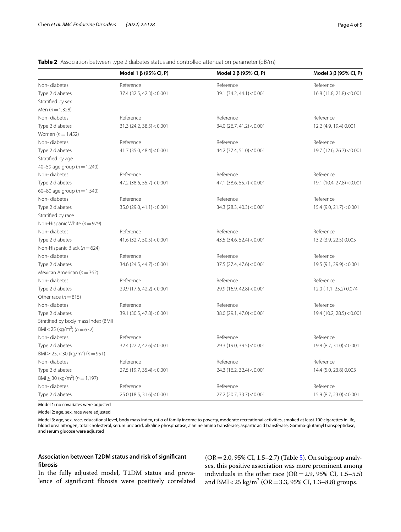<span id="page-3-0"></span>**Table 2** Association between type 2 diabetes status and controlled attenuation parameter (dB/m)

|                                                   | Model 1 $\beta$ (95% CI, P) | Model 2 $\beta$ (95% CI, P) | Model 3 $\beta$ (95% CI, P) |
|---------------------------------------------------|-----------------------------|-----------------------------|-----------------------------|
| Non-diabetes                                      | Reference                   | Reference                   | Reference                   |
| Type 2 diabetes                                   | $37.4$ (32.5, 42.3) < 0.001 | 39.1 (34.2, 44.1) < 0.001   | 16.8(11.8, 21.8) < 0.001    |
| Stratified by sex                                 |                             |                             |                             |
| Men $(n=1,328)$                                   |                             |                             |                             |
| Non-diabetes                                      | Reference                   | Reference                   | Reference                   |
| Type 2 diabetes                                   | $31.3$ (24.2, 38.5) < 0.001 | $34.0$ (26.7, 41.2) < 0.001 | 12.2 (4.9, 19.4) 0.001      |
| Women ( $n = 1.452$ )                             |                             |                             |                             |
| Non-diabetes                                      | Reference                   | Reference                   | Reference                   |
| Type 2 diabetes                                   | $41.7$ (35.0, 48.4) < 0.001 | 44.2 (37.4, 51.0) < 0.001   | $19.7$ (12.6, 26.7) < 0.001 |
| Stratified by age                                 |                             |                             |                             |
| 40-59 age group ( $n = 1,240$ )                   |                             |                             |                             |
| Non-diabetes                                      | Reference                   | Reference                   | Reference                   |
| Type 2 diabetes                                   | $47.2$ (38.6, 55.7) < 0.001 | 47.1 (38.6, 55.7) < 0.001   | 19.1(10.4, 27.8) < 0.001    |
| 60-80 age group ( $n = 1,540$ )                   |                             |                             |                             |
| Non-diabetes                                      | Reference                   | Reference                   | Reference                   |
| Type 2 diabetes                                   | 35.0 (29.0, 41.1) < 0.001   | 34.3 (28.3, 40.3) < 0.001   | $15.4$ (9.0, 21.7) < 0.001  |
| Stratified by race                                |                             |                             |                             |
| Non-Hispanic White ( $n = 979$ )                  |                             |                             |                             |
| Non-diabetes                                      | Reference                   | Reference                   | Reference                   |
| Type 2 diabetes                                   | $41.6$ (32.7, 50.5) < 0.001 | 43.5 (34.6, 52.4) < 0.001   | 13.2 (3.9, 22.5) 0.005      |
| Non-Hispanic Black ( $n = 624$ )                  |                             |                             |                             |
| Non-diabetes                                      | Reference                   | Reference                   | Reference                   |
| Type 2 diabetes                                   | $34.6$ (24.5, 44.7) < 0.001 | $37.5$ (27.4, 47.6) < 0.001 | 19.5(9.1, 29.9) < 0.001     |
| Mexican American ( $n = 362$ )                    |                             |                             |                             |
| Non-diabetes                                      | Reference                   | Reference                   | Reference                   |
| Type 2 diabetes                                   | 29.9 (17.6, 42.2) < 0.001   | 29.9 (16.9, 42.8) < 0.001   | 12.0 (-1.1, 25.2) 0.074     |
| Other race $(n=815)$                              |                             |                             |                             |
| Non-diabetes                                      | Reference                   | Reference                   | Reference                   |
| Type 2 diabetes                                   | $39.1$ (30.5, 47.8) < 0.001 | 38.0 (29.1, 47.0) < 0.001   | 19.4(10.2, 28.5) < 0.001    |
| Stratified by body mass index (BMI)               |                             |                             |                             |
| BMI < 25 (kg/m <sup>2</sup> ) ( $n = 632$ )       |                             |                             |                             |
| Non-diabetes                                      | Reference                   | Reference                   | Reference                   |
| Type 2 diabetes                                   | $32.4$ (22.2, 42.6) < 0.001 | 29.3 (19.0, 39.5) < 0.001   | 19.8 (8.7, 31.0) < 0.001    |
| $BMl \ge 25, < 30$ (kg/m <sup>2</sup> ) (n = 951) |                             |                             |                             |
| Non-diabetes                                      | Reference                   | Reference                   | Reference                   |
| Type 2 diabetes                                   | $27.5$ (19.7, 35.4) < 0.001 | 24.3 (16.2, 32.4) < 0.001   | 14.4 (5.0, 23.8) 0.003      |
| $BMl \ge 30$ (kg/m <sup>2</sup> ) (n = 1,197)     |                             |                             |                             |
| Non-diabetes                                      | Reference                   | Reference                   | Reference                   |
| Type 2 diabetes                                   | 25.0 (18.5, 31.6) < 0.001   | $27.2$ (20.7, 33.7) < 0.001 | $15.9$ (8.7, 23.0) < 0.001  |
|                                                   |                             |                             |                             |

Model 1: no covariates were adjusted

Model 2: age, sex, race were adjusted

Model 3: age, sex, race, educational level, body mass index, ratio of family income to poverty, moderate recreational activities, smoked at least 100 cigarettes in life, blood urea nitrogen, total cholesterol, serum uric acid, alkaline phosphatase, alanine amino transferase, aspartic acid transferase, Gamma-glutamyl transpeptidase, and serum glucose were adjusted

## **Association between T2DM status and risk of signifcant fbrosis**

In the fully adjusted model, T2DM status and prevalence of signifcant fbrosis were positively correlated (OR=2.0, 95% CI, 1.5–2.7) (Table [5\)](#page-6-0). On subgroup analyses, this positive association was more prominent among individuals in the other race  $(OR=2.9, 95\% \text{ CI}, 1.5-5.5)$ and BMI <  $25 \text{ kg/m}^2$  (OR = 3.3, 95% CI, 1.3–8.8) groups.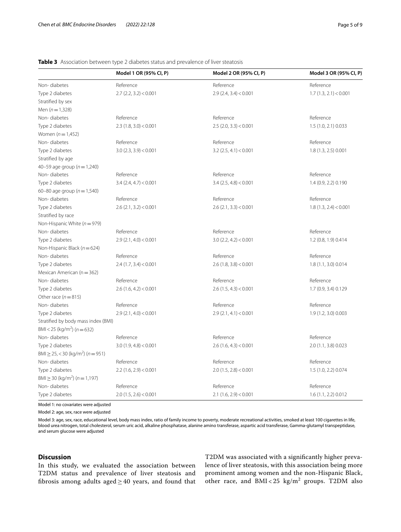## <span id="page-4-0"></span>**Table 3** Association between type 2 diabetes status and prevalence of liver steatosis

|                                                   | Model 1 OR (95% CI, P)   | Model 2 OR (95% CI, P)   | Model 3 OR (95% CI, P) |
|---------------------------------------------------|--------------------------|--------------------------|------------------------|
| Non-diabetes                                      | Reference                | Reference                | Reference              |
| Type 2 diabetes                                   | $2.7$ (2.2, 3.2) < 0.001 | $2.9$ (2.4, 3.4) < 0.001 | 1.7(1.3, 2.1) < 0.001  |
| Stratified by sex                                 |                          |                          |                        |
| Men $(n=1,328)$                                   |                          |                          |                        |
| Non-diabetes                                      | Reference                | Reference                | Reference              |
| Type 2 diabetes                                   | 2.3(1.8, 3.0) < 0.001    | $2.5$ (2.0, 3.3) < 0.001 | 1.5 (1.0, 2.1) 0.033   |
| Women ( $n = 1,452$ )                             |                          |                          |                        |
| Non-diabetes                                      | Reference                | Reference                | Reference              |
| Type 2 diabetes                                   | $3.0$ (2.3, 3.9) < 0.001 | $3.2$ (2.5, 4.1) < 0.001 | 1.8 (1.3, 2.5) 0.001   |
| Stratified by age                                 |                          |                          |                        |
| 40-59 age group ( $n = 1,240$ )                   |                          |                          |                        |
| Non-diabetes                                      | Reference                | Reference                | Reference              |
| Type 2 diabetes                                   | $3.4$ (2.4, 4.7) < 0.001 | $3.4$ (2.5, 4.8) < 0.001 | 1.4 (0.9, 2.2) 0.190   |
| 60-80 age group ( $n = 1,540$ )                   |                          |                          |                        |
| Non-diabetes                                      | Reference                | Reference                | Reference              |
| Type 2 diabetes                                   | $2.6$ (2.1, 3.2) < 0.001 | $2.6$ (2.1, 3.3) < 0.001 | 1.8(1.3, 2.4) < 0.001  |
| Stratified by race                                |                          |                          |                        |
| Non-Hispanic White ( $n = 979$ )                  |                          |                          |                        |
| Non-diabetes                                      | Reference                | Reference                | Reference              |
| Type 2 diabetes                                   | $2.9$ (2.1, 4.0) < 0.001 | $3.0$ (2.2, 4.2) < 0.001 | 1.2 (0.8, 1.9) 0.414   |
| Non-Hispanic Black ( $n = 624$ )                  |                          |                          |                        |
| Non-diabetes                                      | Reference                | Reference                | Reference              |
| Type 2 diabetes                                   | $2.4$ (1.7, 3.4) < 0.001 | $2.6$ (1.8, 3.8) < 0.001 | 1.8 (1.1, 3.0) 0.014   |
| Mexican American ( $n = 362$ )                    |                          |                          |                        |
| Non-diabetes                                      | Reference                | Reference                | Reference              |
| Type 2 diabetes                                   | $2.6$ (1.6, 4.2) < 0.001 | $2.6$ (1.5, 4.3) < 0.001 | 1.7 (0.9, 3.4) 0.129   |
| Other race ( $n = 815$ )                          |                          |                          |                        |
| Non-diabetes                                      | Reference                | Reference                | Reference              |
| Type 2 diabetes                                   | 2.9(2.1, 4.0) < 0.001    | 2.9(2.1, 4.1) < 0.001    | 1.9 (1.2, 3.0) 0.003   |
| Stratified by body mass index (BMI)               |                          |                          |                        |
| BMI < 25 (kg/m <sup>2</sup> ) ( $n = 632$ )       |                          |                          |                        |
| Non-diabetes                                      | Reference                | Reference                | Reference              |
| Type 2 diabetes                                   | 3.0(1.9, 4.8) < 0.001    | $2.6$ (1.6, 4.3) < 0.001 | 2.0 (1.1, 3.8) 0.023   |
| $BMl \ge 25, < 30$ (kg/m <sup>2</sup> ) (n = 951) |                          |                          |                        |
| Non-diabetes                                      | Reference                | Reference                | Reference              |
| Type 2 diabetes                                   | $2.2$ (1.6, 2.9) < 0.001 | $2.0$ (1.5, 2.8) < 0.001 | 1.5 (1.0, 2.2) 0.074   |
| $BMl \ge 30$ (kg/m <sup>2</sup> ) ( $n = 1,197$ ) |                          |                          |                        |
| Non-diabetes                                      | Reference                | Reference                | Reference              |
| Type 2 diabetes                                   | $2.0$ (1.5, 2.6) < 0.001 | $2.1$ (1.6, 2.9) < 0.001 | 1.6 (1.1, 2.2) 0.012   |

Model 1: no covariates were adjusted

Model 2: age, sex, race were adjusted

Model 3: age, sex, race, educational level, body mass index, ratio of family income to poverty, moderate recreational activities, smoked at least 100 cigarettes in life, blood urea nitrogen, total cholesterol, serum uric acid, alkaline phosphatase, alanine amino transferase, aspartic acid transferase, Gamma-glutamyl transpeptidase, and serum glucose were adjusted

## **Discussion**

In this study, we evaluated the association between T2DM status and prevalence of liver steatosis and fibrosis among adults aged  $\geq$  40 years, and found that

T2DM was associated with a signifcantly higher prevalence of liver steatosis, with this association being more prominent among women and the non-Hispanic Black, other race, and  $BMI < 25 \text{ kg/m}^2$  groups. T2DM also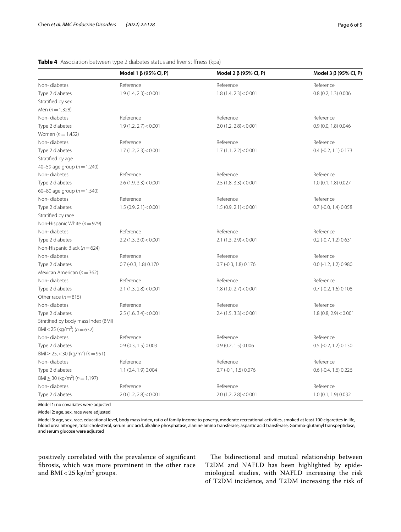## <span id="page-5-0"></span>**Table 4** Association between type 2 diabetes status and liver stifness (kpa)

|                                                   | Model 1 $\beta$ (95% CI, P) | Model 2 $\beta$ (95% CI, P) | Model 3 $\beta$ (95% CI, P) |
|---------------------------------------------------|-----------------------------|-----------------------------|-----------------------------|
| Non-diabetes                                      | Reference                   | Reference                   | Reference                   |
| Type 2 diabetes                                   | 1.9(1.4, 2.3) < 0.001       | 1.8(1.4, 2.3) < 0.001       | 0.8(0.2, 1.3)0.006          |
| Stratified by sex                                 |                             |                             |                             |
| Men $(n=1,328)$                                   |                             |                             |                             |
| Non-diabetes                                      | Reference                   | Reference                   | Reference                   |
| Type 2 diabetes                                   | 1.9(1.2, 2.7) < 0.001       | $2.0$ (1.2, 2.8) < 0.001    | 0.9 (0.0, 1.8) 0.046        |
| Women ( $n = 1,452$ )                             |                             |                             |                             |
| Non-diabetes                                      | Reference                   | Reference                   | Reference                   |
| Type 2 diabetes                                   | 1.7(1.2, 2.3) < 0.001       | 1.7(1.1, 2.2) < 0.001       | $0.4$ (-0.2, 1.1) 0.173     |
| Stratified by age                                 |                             |                             |                             |
| 40-59 age group ( $n = 1,240$ )                   |                             |                             |                             |
| Non-diabetes                                      | Reference                   | Reference                   | Reference                   |
| Type 2 diabetes                                   | $2.6$ (1.9, 3.3) < 0.001    | 2.5(1.8, 3.3) < 0.001       | 1.0 (0.1, 1.8) 0.027        |
| 60-80 age group ( $n = 1,540$ )                   |                             |                             |                             |
| Non-diabetes                                      | Reference                   | Reference                   | Reference                   |
| Type 2 diabetes                                   | 1.5(0.9, 2.1) < 0.001       | 1.5(0.9, 2.1) < 0.001       | $0.7$ (-0.0, 1.4) 0.058     |
| Stratified by race                                |                             |                             |                             |
| Non-Hispanic White ( $n = 979$ )                  |                             |                             |                             |
| Non-diabetes                                      | Reference                   | Reference                   | Reference                   |
| Type 2 diabetes                                   | $2.2$ (1.3, 3.0) < 0.001    | $2.1$ (1.3, 2.9) < 0.001    | $0.2$ (-0.7, 1.2) $0.631$   |
| Non-Hispanic Black ( $n = 624$ )                  |                             |                             |                             |
| Non-diabetes                                      | Reference                   | Reference                   | Reference                   |
| Type 2 diabetes                                   | $0.7$ (-0.3, 1.8) $0.170$   | $0.7$ (-0.3, 1.8) $0.176$   | $0.0$ (-1.2, 1.2) $0.980$   |
| Mexican American ( $n = 362$ )                    |                             |                             |                             |
| Non-diabetes                                      | Reference                   | Reference                   | Reference                   |
| Type 2 diabetes                                   | $2.1$ (1.3, 2.8) < 0.001    | 1.8(1.0, 2.7) < 0.001       | $0.7$ (-0.2, 1.6) $0.108$   |
| Other race $(n=815)$                              |                             |                             |                             |
| Non-diabetes                                      | Reference                   | Reference                   | Reference                   |
| Type 2 diabetes                                   | 2.5(1.6, 3.4) < 0.001       | $2.4$ (1.5, 3.3) < 0.001    | 1.8(0.8, 2.9) < 0.001       |
| Stratified by body mass index (BMI)               |                             |                             |                             |
| BMI < 25 (kg/m <sup>2</sup> ) ( $n = 632$ )       |                             |                             |                             |
| Non-diabetes                                      | Reference                   | Reference                   | Reference                   |
| Type 2 diabetes                                   | 0.9(0.3, 1.5)0.003          | 0.9(0.2, 1.5)0.006          | $0.5$ (-0.2, 1.2) $0.130$   |
| $BMl \ge 25, < 30$ (kg/m <sup>2</sup> ) (n = 951) |                             |                             |                             |
| Non-diabetes                                      | Reference                   | Reference                   | Reference                   |
| Type 2 diabetes                                   | 1.1 (0.4, 1.9) 0.004        | $0.7$ (-0.1, 1.5) 0.076     | $0.6$ (-0.4, 1.6) 0.226     |
| $BMl \ge 30$ (kg/m <sup>2</sup> ) (n = 1,197)     |                             |                             |                             |
| Non-diabetes                                      | Reference                   | Reference                   | Reference                   |
| Type 2 diabetes                                   | $2.0$ (1.2, 2.8) < 0.001    | $2.0$ (1.2, 2.8) < 0.001    | 1.0 (0.1, 1.9) 0.032        |
|                                                   |                             |                             |                             |

Model 1: no covariates were adjusted

Model 2: age, sex, race were adjusted

Model 3: age, sex, race, educational level, body mass index, ratio of family income to poverty, moderate recreational activities, smoked at least 100 cigarettes in life, blood urea nitrogen, total cholesterol, serum uric acid, alkaline phosphatase, alanine amino transferase, aspartic acid transferase, Gamma-glutamyl transpeptidase, and serum glucose were adjusted

positively correlated with the prevalence of signifcant fbrosis, which was more prominent in the other race and BMI <  $25 \text{ kg/m}^2$  groups.

The bidirectional and mutual relationship between T2DM and NAFLD has been highlighted by epidemiological studies, with NAFLD increasing the risk of T2DM incidence, and T2DM increasing the risk of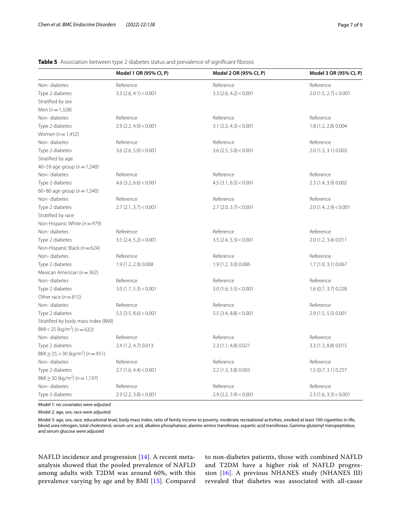## <span id="page-6-0"></span>**Table 5** Association between type 2 diabetes status and prevalence of significant fibrosis

|                                                   | Model 1 OR (95% CI, P)   | Model 2 OR (95% CI, P)   | Model 3 OR (95% CI, P)   |
|---------------------------------------------------|--------------------------|--------------------------|--------------------------|
| Non-diabetes                                      | Reference                | Reference                | Reference                |
| Type 2 diabetes                                   | $3.3$ (2.6, 4.1) < 0.001 | $3.3$ (2.6, 4.2) < 0.001 | $2.0$ (1.5, 2.7) < 0.001 |
| Stratified by sex                                 |                          |                          |                          |
| Men $(n = 1,328)$                                 |                          |                          |                          |
| Non-diabetes                                      | Reference                | Reference                | Reference                |
| Type 2 diabetes                                   | $2.9$ (2.2, 4.0) < 0.001 | $3.1$ (2.3, 4.3) < 0.001 | 1.8 (1.2, 2.8) 0.004     |
| Women $(n = 1,452)$                               |                          |                          |                          |
| Non-diabetes                                      | Reference                | Reference                | Reference                |
| Type 2 diabetes                                   | $3.6$ (2.6, 5.0) < 0.001 | $3.6$ (2.5, 5.0) < 0.001 | 2.0 (1.3, 3.1) 0.003     |
| Stratified by age                                 |                          |                          |                          |
| 40-59 age group ( $n = 1,240$ )                   |                          |                          |                          |
| Non-diabetes                                      | Reference                | Reference                | Reference                |
| Type 2 diabetes                                   | $4.6$ (3.2, 6.6) < 0.001 | $4.5$ (3.1, 6.5) < 0.001 | 2.3 (1.4, 3.9) 0.002     |
| 60-80 age group ( $n = 1,540$ )                   |                          |                          |                          |
| Non-diabetes                                      | Reference                | Reference                | Reference                |
| Type 2 diabetes                                   | $2.7$ (2.1, 3.7) < 0.001 | $2.7$ (2.0, 3.7) < 0.001 | $2.0$ (1.4, 2.9) < 0.001 |
| Stratified by race                                |                          |                          |                          |
| Non-Hispanic White ( $n = 979$ )                  |                          |                          |                          |
| Non-diabetes                                      | Reference                | Reference                | Reference                |
| Type 2 diabetes                                   | $3.5$ (2.4, 5.2) < 0.001 | $3.5$ (2.4, 5.3) < 0.001 | 2.0 (1.2, 3.4) 0.011     |
| Non-Hispanic Black ( $n = 624$ )                  |                          |                          |                          |
| Non-diabetes                                      | Reference                | Reference                | Reference                |
| Type 2 diabetes                                   | 1.9 (1.2, 2.9) 0.008     | 1.9 (1.2, 3.0) 0.006     | 1.7 (1.0, 3.1) 0.067     |
| Mexican American ( $n = 362$ )                    |                          |                          |                          |
| Non-diabetes                                      | Reference                | Reference                | Reference                |
| Type 2 diabetes                                   | $3.0$ (1.7, 5.3) < 0.001 | $3.0$ (1.6, 5.5) < 0.001 | 1.6 (0.7, 3.7) 0.228     |
| Other race $(n=815)$                              |                          |                          |                          |
| Non-diabetes                                      | Reference                | Reference                | Reference                |
| Type 2 diabetes                                   | $5.5$ (3.5, 8.6) < 0.001 | $5.5$ (3.4, 8.8) < 0.001 | 2.9 (1.5, 5.5) 0.001     |
| Stratified by body mass index (BMI)               |                          |                          |                          |
| BMI < 25 (kg/m <sup>2</sup> ) ( $n = 632$ )       |                          |                          |                          |
| Non-diabetes                                      | Reference                | Reference                | Reference                |
| Type 2 diabetes                                   | 2.4 (1.2, 4.7) 0.013     | 2.3 (1.1, 4.8) 0.021     | 3.3 (1.3, 8.8) 0.015     |
| $BMl \ge 25, < 30$ (kg/m <sup>2</sup> ) (n = 951) |                          |                          |                          |
| Non-diabetes                                      | Reference                | Reference                | Reference                |
| Type 2 diabetes                                   | 2.7(1.6, 4.4) < 0.001    | 2.2 (1.3, 3.8) 0.003     | 1.5 (0.7, 3.1) 0.257     |
| $BMl \ge 30$ (kg/m <sup>2</sup> ) (n = 1,197)     |                          |                          |                          |
| Non-diabetes                                      | Reference                | Reference                | Reference                |
| Type 2 diabetes                                   | $2.9$ (2.2, 3.8) < 0.001 | $2.9$ (2.2, 3.9) < 0.001 | $2.3$ (1.6, 3.3) < 0.001 |

Model 1: no covariates were adjusted

Model 2: age, sex, race were adjusted

Model 3: age, sex, race, educational level, body mass index, ratio of family income to poverty, moderate recreational activities, smoked at least 100 cigarettes in life, blood urea nitrogen, total cholesterol, serum uric acid, alkaline phosphatase, alanine amino transferase, aspartic acid transferase, Gamma-glutamyl transpeptidase, and serum glucose were adjusted

NAFLD incidence and progression [[14\]](#page-8-13). A recent metaanalysis showed that the pooled prevalence of NAFLD among adults with T2DM was around 60%, with this prevalence varying by age and by BMI [\[15](#page-8-14)]. Compared to non-diabetes patients, those with combined NAFLD and T2DM have a higher risk of NAFLD progression [[16](#page-8-15)]. A previous NHANES study (NHANES III) revealed that diabetes was associated with all-cause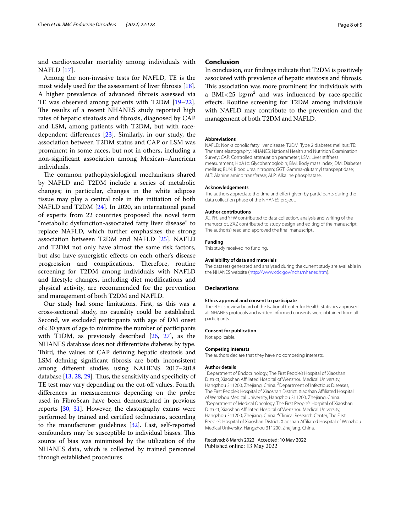and cardiovascular mortality among individuals with NAFLD [[17\]](#page-8-16).

Among the non-invasive tests for NAFLD, TE is the most widely used for the assessment of liver fibrosis  $[18]$  $[18]$ . A higher prevalence of advanced fbrosis assessed via TE was observed among patients with T2DM [[19](#page-8-18)[–22](#page-8-19)]. The results of a recent NHANES study reported high rates of hepatic steatosis and fbrosis, diagnosed by CAP and LSM, among patients with T2DM, but with racedependent diferences [\[23](#page-8-20)]. Similarly, in our study, the association between T2DM status and CAP or LSM was prominent in some races, but not in others, including a non-signifcant association among Mexican–American individuals.

The common pathophysiological mechanisms shared by NAFLD and T2DM include a series of metabolic changes; in particular, changes in the white adipose tissue may play a central role in the initiation of both NAFLD and T2DM [[24](#page-8-21)]. In 2020, an international panel of experts from 22 countries proposed the novel term "metabolic dysfunction-associated fatty liver disease" to replace NAFLD, which further emphasizes the strong association between T2DM and NAFLD [\[25](#page-8-22)]. NAFLD and T2DM not only have almost the same risk factors, but also have synergistic efects on each other's disease progression and complications. Therefore, routine screening for T2DM among individuals with NAFLD and lifestyle changes, including diet modifcations and physical activity, are recommended for the prevention and management of both T2DM and NAFLD.

Our study had some limitations. First, as this was a cross-sectional study, no causality could be established. Second, we excluded participants with age of DM onset of<30 years of age to minimize the number of participants with T1DM, as previously described [\[26](#page-8-23), [27](#page-8-24)], as the NHANES database does not diferentiate diabetes by type. Third, the values of CAP defining hepatic steatosis and LSM defning signifcant fbrosis are both inconsistent among diferent studies using NAHENS 2017–2018 database  $[13, 28, 29]$  $[13, 28, 29]$  $[13, 28, 29]$  $[13, 28, 29]$  $[13, 28, 29]$  $[13, 28, 29]$  $[13, 28, 29]$ . Thus, the sensitivity and specificity of TE test may vary depending on the cut-off values. Fourth, diferences in measurements depending on the probe used in FibroScan have been demonstrated in previous reports [\[30,](#page-8-27) [31\]](#page-8-28). However, the elastography exams were performed by trained and certifed technicians, according to the manufacturer guidelines [\[32\]](#page-8-29). Last, self-reported confounders may be susceptible to individual biases. This source of bias was minimized by the utilization of the NHANES data, which is collected by trained personnel through established procedures.

## **Conclusion**

In conclusion, our fndings indicate that T2DM is positively associated with prevalence of hepatic steatosis and fbrosis. This association was more prominent for individuals with a BMI<25  $\text{kg/m}^2$  and was influenced by race-specific efects. Routine screening for T2DM among individuals with NAFLD may contribute to the prevention and the management of both T2DM and NAFLD.

#### **Abbreviations**

NAFLD: Non-alcoholic fatty liver disease; T2DM: Type 2 diabetes mellitus; TE: Transient elastography; NHANES: National Health and Nutrition Examination Survey; CAP: Controlled attenuation parameter; LSM: Liver stifness measurement; HbA1c: Glycohemoglobin; BMI: Body mass index; DM: Diabetes mellitus; BUN: Blood urea nitrogen; GGT: Gamma-glutamyl transpeptidase; ALT: Alanine amino transferase; ALP: Alkaline phosphatase.

#### **Acknowledgements**

The authors appreciate the time and effort given by participants during the data collection phase of the NHANES project.

#### **Author contributions**

JC, PH, and YFW contributed to data collection, analysis and writing of the manuscript. ZXZ contributed to study design and editing of the manuscript. The author(s) read and approved the fnal manuscript..

#### **Funding**

This study received no funding.

#### **Availability of data and materials**

The datasets generated and analysed during the current study are available in the NHANES website ([http://www.cdc.gov/nchs/nhanes.htm\)](http://www.cdc.gov/nchs/nhanes.htm).

### **Declarations**

#### **Ethics approval and consent to participate**

The ethics review board of the National Center for Health Statistics approved all NHANES protocols and written informed consents were obtained from all participants.

#### **Consent for publication**

Not applicable.

#### **Competing interests**

The authors declare that they have no competing interests.

#### **Author details**

<sup>1</sup> Department of Endocrinology, The First People's Hospital of Xiaoshan District, Xiaoshan Afliated Hospital of Wenzhou Medical University, Hangzhou 311200, Zhejiang, China. <sup>2</sup> Department of Infectious Diseases, The First People's Hospital of Xiaoshan District, Xiaoshan Afliated Hospital of Wenzhou Medical University, Hangzhou 311200, Zhejiang, China. 3 <sup>3</sup> Department of Medical Oncology, The First People's Hospital of Xiaoshan District, Xiaoshan Afliated Hospital of Wenzhou Medical University, Hangzhou 311200, Zhejiang, China. <sup>4</sup>Clinical Research Center, The First People's Hospital of Xiaoshan District, Xiaoshan Affiliated Hospital of Wenzhou Medical University, Hangzhou 311200, Zhejiang, China.

Received: 8 March 2022 Accepted: 10 May 2022Published online: 13 May 2022